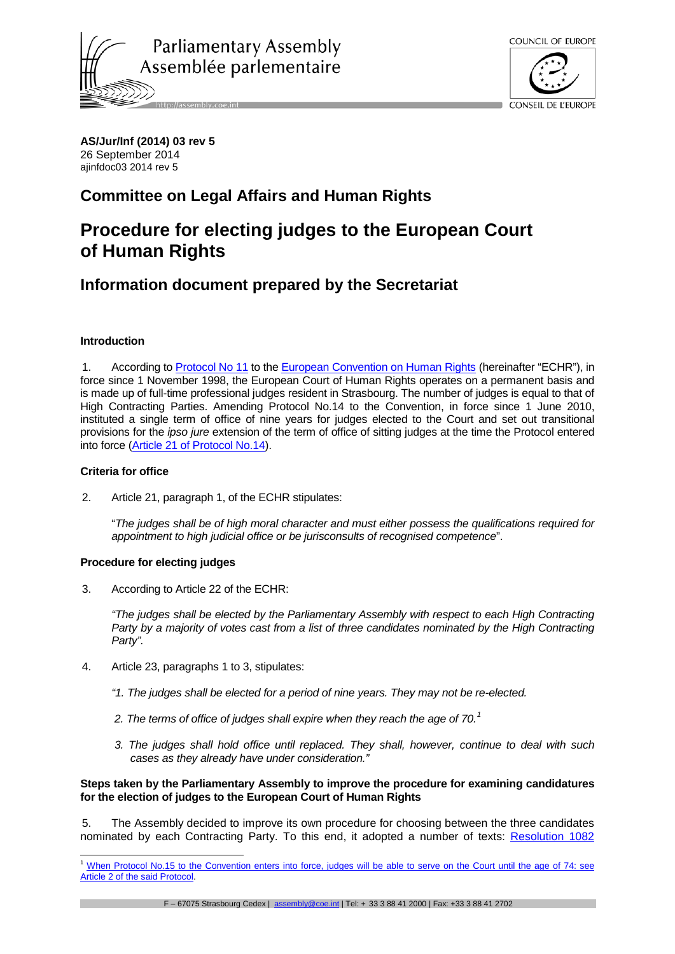



**AS/Jur/Inf (2014) 03 rev 5** 26 September 2014 ajinfdoc03 2014 rev 5

## **Committee on Legal Affairs and Human Rights**

# **Procedure for electing judges to the European Court of Human Rights**

## **Information document prepared by the Secretariat**

## **Introduction**

1. According to [Protocol No 11](http://conventions.coe.int/Treaty/en/Treaties/Word/155.doc) to the [European Convention on Human Rights](http://conventions.coe.int/Treaty/en/Treaties/Word/005.doc) (hereinafter "ECHR"), in force since 1 November 1998, the European Court of Human Rights operates on a permanent basis and is made up of full-time professional judges resident in Strasbourg. The number of judges is equal to that of High Contracting Parties. Amending Protocol No.14 to the Convention, in force since 1 June 2010, instituted a single term of office of nine years for judges elected to the Court and set out transitional provisions for the *ipso jure* extension of the term of office of sitting judges at the time the Protocol entered into force [\(Article 21 of Protocol No.14\)](http://conventions.coe.int/treaty/en/treaties/html/194.htm).

## **Criteria for office**

2. Article 21, paragraph 1, of the ECHR stipulates:

"*The judges shall be of high moral character and must either possess the qualifications required for appointment to high judicial office or be jurisconsults of recognised competence*".

## **Procedure for electing judges**

3. According to Article 22 of the ECHR:

*"The judges shall be elected by the Parliamentary Assembly with respect to each High Contracting Party by a majority of votes cast from a list of three candidates nominated by the High Contracting Party".* 

- 4. Article 23, paragraphs 1 to 3, stipulates:
	- *"1. The judges shall be elected for a period of nine years. They may not be re-elected.*
	- *2. The terms of office of judges shall expire when they reach the age of 70.[1](#page-0-0)*
	- *3. The judges shall hold office until replaced. They shall, however, continue to deal with such cases as they already have under consideration."*

## **Steps taken by the Parliamentary Assembly to improve the procedure for examining candidatures for the election of judges to the European Court of Human Rights**

5. The Assembly decided to improve its own procedure for choosing between the three candidates nominated by each Contracting Party. To this end, it adopted a number of texts: [Resolution 1082](http://assembly.coe.int/Mainf.asp?link=/Documents/AdoptedText/ta96/ERES1082.htm) 

<span id="page-0-0"></span><sup>&</sup>lt;sup>1</sup> When Protocol No.15 to the Convention enters into force, judges will be able to serve on the Court until the age of 74: see [Article 2 of the said Protocol.](http://www.echr.coe.int/Documents/Protocol_15_ENG.pdf) -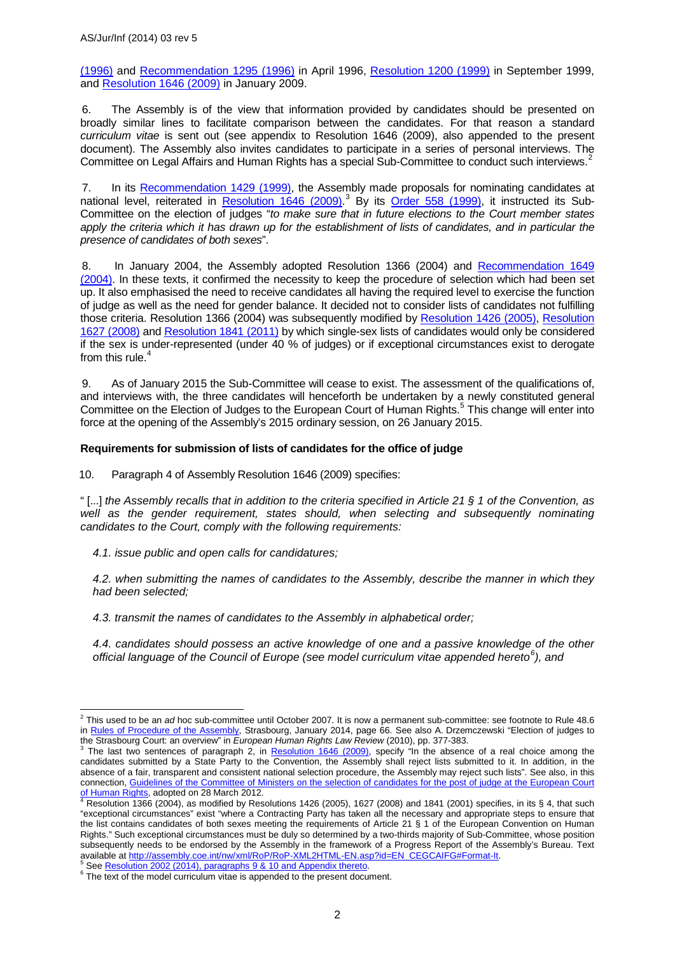[\(1996\)](http://assembly.coe.int/Mainf.asp?link=/Documents/AdoptedText/ta96/ERES1082.htm) and [Recommendation 1295 \(1996\)](http://assembly.coe.int/Mainf.asp?link=/Documents/AdoptedText/ta96/EREC1295.htm) in April 1996, [Resolution 1200 \(1999\)](http://assembly.coe.int/Mainf.asp?link=/Documents/AdoptedText/ta99/ERES1200.htm) in September 1999, and [Resolution 1646 \(2009\)](http://assembly.coe.int/Mainf.asp?link=/Documents/AdoptedText/ta09/ERES1646.htm) in January 2009.

6. The Assembly is of the view that information provided by candidates should be presented on broadly similar lines to facilitate comparison between the candidates. For that reason a standard *curriculum vitae* is sent out (see appendix to Resolution 1646 (2009), also appended to the present document). The Assembly also invites candidates to participate in a series of personal interviews. The Committee on Legal Affairs and Human Rights has a special Sub-Committee to conduct such interviews.<sup>[2](#page-1-0)</sup>

7. In its [Recommendation 1429 \(1999\),](http://assembly.coe.int/Mainf.asp?link=/Documents/AdoptedText/ta99/EREC1429.htm) the Assembly made proposals for nominating candidates at national level, reiterated in [Resolution 1646 \(2009\).](http://assembly.coe.int/Mainf.asp?link=/Documents/AdoptedText/ta09/ERES1646.htm)<sup>[3](#page-1-1)</sup> By its [Order 558 \(1999\),](http://assembly.coe.int/Mainf.asp?link=/Documents/AdoptedText/ta99/EDIR558.htm) it instructed its Sub-Committee on the election of judges "*to make sure that in future elections to the Court member states apply the criteria which it has drawn up for the establishment of lists of candidates, and in particular the presence of candidates of both sexes*".

8. In January 2004, the Assembly adopted Resolution 1366 (2004) and [Recommendation 1649](http://assembly.coe.int/Mainf.asp?link=/Documents/AdoptedText/ta04/EREC1649.htm)  [\(2004\).](http://assembly.coe.int/Mainf.asp?link=/Documents/AdoptedText/ta04/EREC1649.htm) In these texts, it confirmed the necessity to keep the procedure of selection which had been set up. It also emphasised the need to receive candidates all having the required level to exercise the function of judge as well as the need for gender balance. It decided not to consider lists of candidates not fulfilling those criteria. Resolution 1366 (2004) was subsequently modified by [Resolution 1426 \(2005\),](http://assembly.coe.int/Mainf.asp?link=/Documents/AdoptedText/ta05/ERES1426.htm) [Resolution](http://assembly.coe.int/Mainf.asp?link=/Documents/AdoptedText/ta08/ERES1627.htm)  [1627 \(2008\)](http://assembly.coe.int/Mainf.asp?link=/Documents/AdoptedText/ta08/ERES1627.htm) and [Resolution 1841 \(2011\)](http://assembly.coe.int/Mainf.asp?link=/Documents/AdoptedText/ta11/ERES1841.htm) by which single-sex lists of candidates would only be considered if the sex is under-represented (under 40 % of judges) or if exceptional circumstances exist to derogate from this rule. $4$ 

9. As of January 2015 the Sub-Committee will cease to exist. The assessment of the qualifications of, and interviews with, the three candidates will henceforth be undertaken by a newly constituted general Committee on the Election of Judges to the European Court of Human Rights.<sup>[5](#page-1-3)</sup> This change will enter into force at the opening of the Assembly's 2015 ordinary session, on 26 January 2015.

### **Requirements for submission of lists of candidates for the office of judge**

10. Paragraph 4 of Assembly Resolution 1646 (2009) specifies:

" [...] *the Assembly recalls that in addition to the criteria specified in Article 21 § 1 of the Convention, as*  well as the gender requirement, states should, when selecting and subsequently nominating *candidates to the Court, comply with the following requirements:*

*4.1. issue public and open calls for candidatures;* 

*4.2. when submitting the names of candidates to the Assembly, describe the manner in which they had been selected;* 

*4.3. transmit the names of candidates to the Assembly in alphabetical order;* 

*4.4. candidates should possess an active knowledge of one and a passive knowledge of the other official language of the Council of Europe (see model curriculum vitae appended hereto[6](#page-1-4) ), and* 

<span id="page-1-4"></span><span id="page-1-3"></span><sup>5</sup> See <u>Resolution 2002 (2014), paragraphs 9 & 10 and Appendix thereto.<br><sup>6</sup> The text of the model curriculum vitae is appended to the present document.</u>

<span id="page-1-0"></span><sup>2</sup> This used to be an *ad* hoc sub-committee until October 2007. It is now a permanent sub-committee: see footnote to Rule 48.6 in [Rules of Procedure of the Assembly,](http://assembly.coe.int/nw/xml/RoP/RoP-XML2HTML-EN.asp?id=toc%23Part-10) Strasbourg, January 2014, page 66. See also A. Drzemczewski "Election of judges to the Strasbourg Court: an overview" in European Human Rights Law Review (2010), pp. 377-383.  $\overline{1}$ 

<span id="page-1-1"></span>the Strasbourg Court: an overview" in *European Human Rights Law Review* (2010), pp. 377-383.<br><sup>3</sup> The last two sentences of paragraph 2, in <u>Resolution 1646 (2009)</u>, specify "In the absence of a real choice among the candidates submitted by a State Party to the Convention, the Assembly shall reject lists submitted to it. In addition, in the absence of a fair, transparent and consistent national selection procedure, the Assembly may reject such lists". See also, in this connection, [Guidelines of the Committee of Ministers on the selection of candidates for the post of judge at the European Court](https://wcd.coe.int/ViewDoc.jsp?Ref=CM(2012)40&Language=lanEnglish&Ver=final&Site=COE&BackColorInternet=C3C3C3&BackColorIntranet=EDB021&BackColorLogged=F5D383)  [of Human](https://wcd.coe.int/ViewDoc.jsp?Ref=CM(2012)40&Language=lanEnglish&Ver=final&Site=COE&BackColorInternet=C3C3C3&BackColorIntranet=EDB021&BackColorLogged=F5D383) Rights, adopted on 28 March 2012.<br>
<sup>4</sup> Resolution 1366 (2004), as modified by Resolutions 1426 (2005), 1627 (2008) and 1841 (2001) specifies, in its § 4, that such

<span id="page-1-2"></span><sup>&</sup>quot;exceptional circumstances" exist "where a Contracting Party has taken all the necessary and appropriate steps to ensure that the list contains candidates of both sexes meeting the requirements of Article 21 § 1 of the European Convention on Human Rights." Such exceptional circumstances must be duly so determined by a two-thirds majority of Sub-Committee, whose position subsequently needs to be endorsed by the Assembly in the framework of a Progress Report of the Assembly's Bureau. Text available at http://assembly.coe.int/nw/xml/RoP/RoP-XML2HTML-EN.asp?id=EN\_CEGCAIFG#Format-It.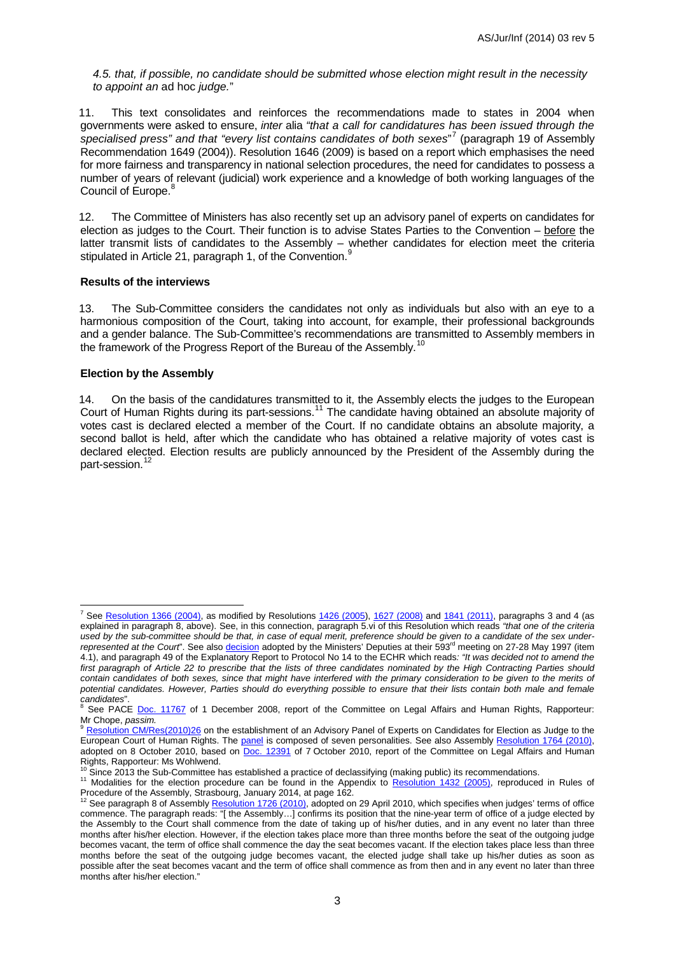*4.5. that, if possible, no candidate should be submitted whose election might result in the necessity to appoint an* ad hoc *judge.*"

11. This text consolidates and reinforces the recommendations made to states in 2004 when governments were asked to ensure, *inter* alia *"that a call for candidatures has been issued through the specialised press" and that "every list contains candidates of both sexes*" [7](#page-2-0) (paragraph 19 of Assembly Recommendation 1649 (2004)). Resolution 1646 (2009) is based on a report which emphasises the need for more fairness and transparency in national selection procedures, the need for candidates to possess a number of years of relevant (judicial) work experience and a knowledge of both working languages of the Council of Europe.<sup>[8](#page-2-1)</sup>

12. The Committee of Ministers has also recently set up an advisory panel of experts on candidates for election as judges to the Court. Their function is to advise States Parties to the Convention – before the latter transmit lists of candidates to the Assembly – whether candidates for election meet the criteria stipulated in Article 21, paragraph 1, of the Convention.<sup>[9](#page-2-2)</sup>

#### **Results of the interviews**

13. The Sub-Committee considers the candidates not only as individuals but also with an eye to a harmonious composition of the Court, taking into account, for example, their professional backgrounds and a gender balance. The Sub-Committee's recommendations are transmitted to Assembly members in the framework of the Progress Report of the Bureau of the Assembly.<sup>[10](#page-2-3)</sup>

#### **Election by the Assembly**

-

14. On the basis of the candidatures transmitted to it, the Assembly elects the judges to the European Court of Human Rights during its part-sessions.<sup>[11](#page-2-4)</sup> The candidate having obtained an absolute majority of votes cast is declared elected a member of the Court. If no candidate obtains an absolute majority, a second ballot is held, after which the candidate who has obtained a relative majority of votes cast is declared elected. Election results are publicly announced by the President of the Assembly during the part-session.<sup>[12](#page-2-5)</sup>

<span id="page-2-0"></span><sup>&</sup>lt;sup>7</sup> See [Resolution 1366 \(2004\),](http://assembly.coe.int/nw/xml/RoP/RoP-XML2HTML-EN.asp?id=EN_CEGCAIFG%23Format-It) as modified by Resolutions [1426 \(2005\)](http://assembly.coe.int/Mainf.asp?link=/Documents/AdoptedText/ta05/ERES1426.htm), [1627 \(2008\)](http://assembly.coe.int/Mainf.asp?link=/Documents/AdoptedText/ta08/ERES1627.htm) and [1841 \(2011\),](http://assembly.coe.int/Mainf.asp?link=/Documents/AdoptedText/ta11/ERES1841.htm) paragraphs 3 and 4 (as explained in paragraph 8, above). See, in this connection, paragraph 5.vi of this Resolution which reads *"that one of the criteria used by the sub-committee should be that, in case of equal merit, preference should be given to a candidate of the sex under*represented at the Court". See also [decision](https://wcd.coe.int/com.instranet.InstraServlet?Index=no&command=com.instranet.CmdBlobGet&InstranetImage=1328350&SecMode=1&DocId=569402&Usage=2) adopted by the Ministers' Deputies at their 593<sup>rd</sup> meeting on 27-28 May 1997 (item 4.1), and paragraph 49 of the Explanatory Report to Protocol No 14 to the ECHR which reads*: "It was decided not to amend the*  first paragraph of Article 22 to prescribe that the lists of three candidates nominated by the High Contracting Parties should *contain candidates of both sexes, since that might have interfered with the primary consideration to be given to the merits of potential candidates. However, Parties should do everything possible to ensure that their lists contain both male and female* 

<span id="page-2-1"></span>*candidates*".<br><sup>8</sup> See PACE <u>Doc. 11767</u> of 1 December 2008, report of the Committee on Legal Affairs and Human Rights, Rapporteur:<br>Mr Chope, passim.

<span id="page-2-2"></span>[Resolution CM/Res\(2010\)26](https://wcd.coe.int/ViewDoc.jsp?id=1704555&Site=CM&BackColorInternet=C3C3C3&BackColorIntranet=EDB021&BackColorLogged=F5D383) on the establishment of an Advisory Panel of Experts on Candidates for Election as Judge to the European Court of Human Rights. The [panel](http://www.coe.int/en/web/dlapil/advisory-panel) is composed of seven personalities. See also Assembly [Resolution 1764 \(2010\),](http://assembly.coe.int/Main.asp?link=/Documents/AdoptedText/ta10/ERES1764.htm) adopted on 8 October 2010, based on [Doc. 12391](http://assembly.coe.int/ASP/Doc/XrefViewPDF.asp?FileID=12764&Language=EN) of 7 October 2010, report of the Committee on Legal Affairs and Human Rights, Rapporteur: Ms Wohlwend.

<span id="page-2-4"></span><span id="page-2-3"></span> $^{10}$  Since 2013 the Sub-Committee has established a practice of declassifying (making public) its recommendations.<br> $^{11}$  Modalities for the election procedure can be found in the Appendix to [Resolution 1432 \(2005\),](http://assembly.coe.int/Mainf.asp?link=/Documents/AdoptedText/ta05/eRES1432.htm) rep Procedure of the Assembly, Strasbourg, January 2014, at page 162.<br><sup>12</sup> See paragraph 8 of Assembl[y Resolution 1726 \(2010\),](http://assembly.coe.int/Mainf.asp?link=/Documents/AdoptedText/ta10/ERES1726.htm) adopted on 29 April 2010, which specifies when judges' terms of office

<span id="page-2-5"></span>commence. The paragraph reads: "[ the Assembly…] confirms its position that the nine-year term of office of a judge elected by the Assembly to the Court shall commence from the date of taking up of his/her duties, and in any event no later than three months after his/her election. However, if the election takes place more than three months before the seat of the outgoing judge becomes vacant, the term of office shall commence the day the seat becomes vacant. If the election takes place less than three months before the seat of the outgoing judge becomes vacant, the elected judge shall take up his/her duties as soon as possible after the seat becomes vacant and the term of office shall commence as from then and in any event no later than three months after his/her election."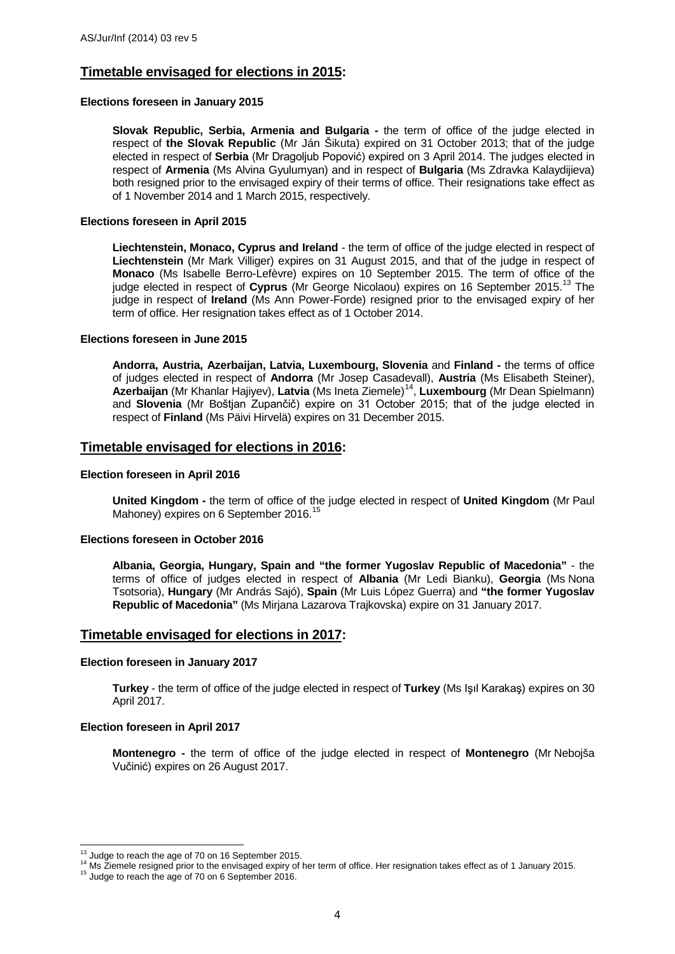## **Timetable envisaged for elections in 2015:**

#### **Elections foreseen in January 2015**

**Slovak Republic, Serbia, Armenia and Bulgaria -** the term of office of the judge elected in respect of **the Slovak Republic** (Mr Ján Šikuta) expired on 31 October 2013; that of the judge elected in respect of **Serbia** (Mr Dragoljub Popović) expired on 3 April 2014. The judges elected in respect of **Armenia** (Ms Alvina Gyulumyan) and in respect of **Bulgaria** (Ms Zdravka Kalaydijieva) both resigned prior to the envisaged expiry of their terms of office. Their resignations take effect as of 1 November 2014 and 1 March 2015, respectively.

#### **Elections foreseen in April 2015**

**Liechtenstein, Monaco, Cyprus and Ireland** - the term of office of the judge elected in respect of **Liechtenstein** (Mr Mark Villiger) expires on 31 August 2015, and that of the judge in respect of **Monaco** (Ms Isabelle Berro-Lefèvre) expires on 10 September 2015. The term of office of the judge elected in respect of **Cyprus** (Mr George Nicolaou) expires on 16 September 2015.[13](#page-3-0) The judge in respect of **Ireland** (Ms Ann Power-Forde) resigned prior to the envisaged expiry of her term of office. Her resignation takes effect as of 1 October 2014.

#### **Elections foreseen in June 2015**

**Andorra, Austria, Azerbaijan, Latvia, Luxembourg, Slovenia** and **Finland -** the terms of office of judges elected in respect of **Andorra** (Mr Josep Casadevall), **Austria** (Ms Elisabeth Steiner), Azerbaijan (Mr Khanlar Hajiyev), Latvia (Ms Ineta Ziemele)<sup>14</sup>, Luxembourg (Mr Dean Spielmann) and **Slovenia** (Mr Boštjan Zupančič) expire on 31 October 2015; that of the judge elected in respect of **Finland** (Ms Päivi Hirvelä) expires on 31 December 2015.

### **Timetable envisaged for elections in 2016:**

#### **Election foreseen in April 2016**

**United Kingdom -** the term of office of the judge elected in respect of **United Kingdom** (Mr Paul Mahoney) expires on 6 September 2016.<sup>[15](#page-3-2)</sup>

#### **Elections foreseen in October 2016**

**Albania, Georgia, Hungary, Spain and "the former Yugoslav Republic of Macedonia"** - the terms of office of judges elected in respect of **Albania** (Mr Ledi Bianku), **Georgia** (Ms Nona Tsotsoria), **Hungary** (Mr András Sajó), **Spain** (Mr Luis López Guerra) and **"the former Yugoslav Republic of Macedonia"** (Ms Mirjana Lazarova Trajkovska) expire on 31 January 2017.

#### **Timetable envisaged for elections in 2017:**

#### **Election foreseen in January 2017**

**Turkey** - the term of office of the judge elected in respect of **Turkey** (Ms Işıl Karakaş) expires on 30 April 2017.

#### **Election foreseen in April 2017**

**Montenegro -** the term of office of the judge elected in respect of **Montenegro** (Mr Nebojša Vučinić) expires on 26 August 2017.

<span id="page-3-0"></span><sup>&</sup>lt;sup>13</sup> Judge to reach the age of 70 on 16 September 2015.

<span id="page-3-1"></span><sup>&</sup>lt;sup>14</sup> Ms Ziemele resigned prior to the envisaged expiry of her term of office. Her resignation takes effect as of 1 January 2015.<br><sup>15</sup> Judge to reach the age of 70 on 6 September 2016.

<span id="page-3-2"></span>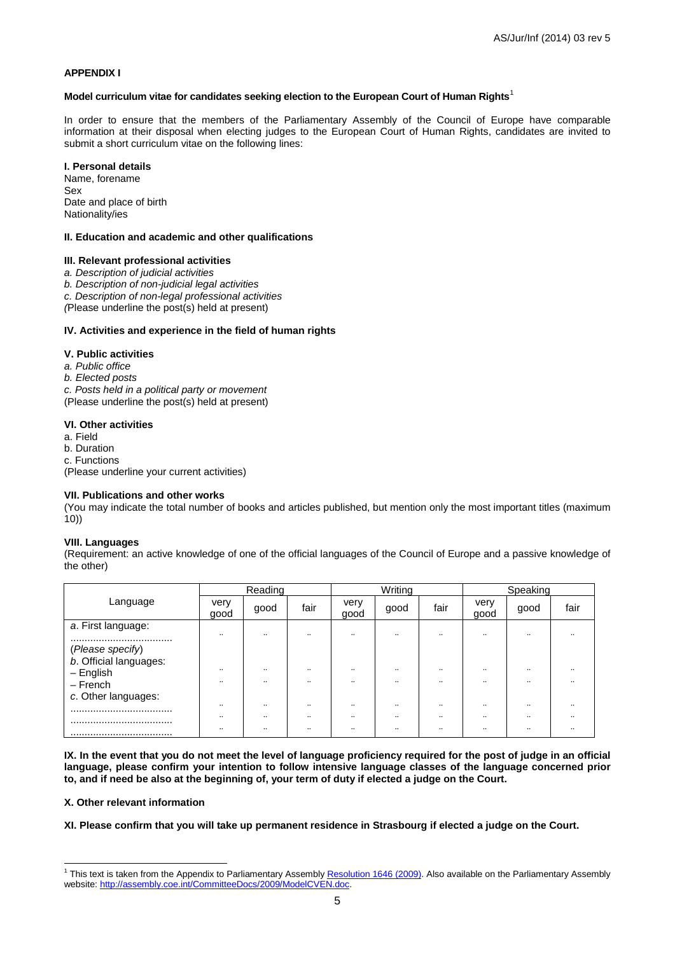#### **APPENDIX I**

#### **Model curriculum vitae for candidates seeking election to the European Court of Human Rights**[1](#page-4-0)

In order to ensure that the members of the Parliamentary Assembly of the Council of Europe have comparable information at their disposal when electing judges to the European Court of Human Rights, candidates are invited to submit a short curriculum vitae on the following lines:

#### **I. Personal details**

Name, forename Sex Date and place of birth Nationality/ies

#### **II. Education and academic and other qualifications**

#### **III. Relevant professional activities**

*a. Description of judicial activities*

*b. Description of non-judicial legal activities*

*c. Description of non-legal professional activities*

*(*Please underline the post(s) held at present)

#### **IV. Activities and experience in the field of human rights**

#### **V. Public activities**

*a. Public office*

*b. Elected posts*

*c. Posts held in a political party or movement*

(Please underline the post(s) held at present)

#### **VI. Other activities**

a. Field

b. Duration

c. Functions

(Please underline your current activities)

#### **VII. Publications and other works**

(You may indicate the total number of books and articles published, but mention only the most important titles (maximum 10))

#### **VIII. Languages**

(Requirement: an active knowledge of one of the official languages of the Council of Europe and a passive knowledge of the other)

|                                       | Reading                                      |                                  |                                  | Writing                              |                                      |                                      | Speaking                             |                      |      |
|---------------------------------------|----------------------------------------------|----------------------------------|----------------------------------|--------------------------------------|--------------------------------------|--------------------------------------|--------------------------------------|----------------------|------|
| Language                              | very<br>good                                 | good                             | fair                             | verv<br>good                         | good                                 | fair                                 | very<br>good                         | good                 | fair |
| a. First language:                    | $\cdot$                                      | $\bullet\bullet$                 | $\ddot{\phantom{0}}$             | $\cdots$                             |                                      | $\bullet\bullet$                     | $\bullet\bullet$                     | $\bullet\bullet$     |      |
| <br>(Please specify)                  |                                              |                                  |                                  |                                      |                                      |                                      |                                      |                      |      |
| b. Official languages:<br>$-$ English | $\ddot{\phantom{a}}$                         | $\ddot{\phantom{0}}$             | $\bullet\bullet$                 | $\bullet\bullet$                     | $\cdot$                              | $\bullet\bullet$                     | $\bullet\bullet$                     |                      |      |
| $-$ French<br>c. Other languages:     | $\ddot{\phantom{a}}$                         | $\bullet\bullet$                 | $\bullet\bullet$                 | $\bullet\bullet$                     | $\cdot$                              | $\sim$                               |                                      |                      |      |
|                                       | $\ddot{\phantom{a}}$                         | $\ddot{\phantom{0}}$             | $\ddot{\phantom{0}}$             | $\bullet\bullet$                     |                                      | $\sim$                               | $\bullet\bullet$                     |                      |      |
|                                       | $\ddot{\phantom{a}}$<br>$\ddot{\phantom{a}}$ | $\ddot{\phantom{0}}$<br>$\cdots$ | $\ddot{\phantom{0}}$<br>$\cdots$ | $\bullet\bullet$<br>$\bullet\bullet$ | $\bullet\bullet$<br>$\bullet\bullet$ | $\bullet\bullet$<br>$\bullet\bullet$ | $\bullet\bullet$<br>$\bullet\bullet$ | $\bullet\bullet$<br> |      |
|                                       |                                              |                                  |                                  |                                      |                                      |                                      |                                      |                      |      |

**IX. In the event that you do not meet the level of language proficiency required for the post of judge in an official language, please confirm your intention to follow intensive language classes of the language concerned prior to, and if need be also at the beginning of, your term of duty if elected a judge on the Court.** 

#### **X. Other relevant information**

**XI. Please confirm that you will take up permanent residence in Strasbourg if elected a judge on the Court.**

<span id="page-4-0"></span><sup>&</sup>lt;sup>1</sup> This text is taken from the Appendix to Parliamentary Assembl[y Resolution 1646 \(2009\).](http://assembly.coe.int/Mainf.asp?link=/Documents/AdoptedText/ta09/ERES1646.htm) Also available on the Parliamentary Assembly website: [http://assembly.coe.int/CommitteeDocs/2009/ModelCVEN.doc.](http://assembly.coe.int/CommitteeDocs/2009/ModelCVEN.doc)  -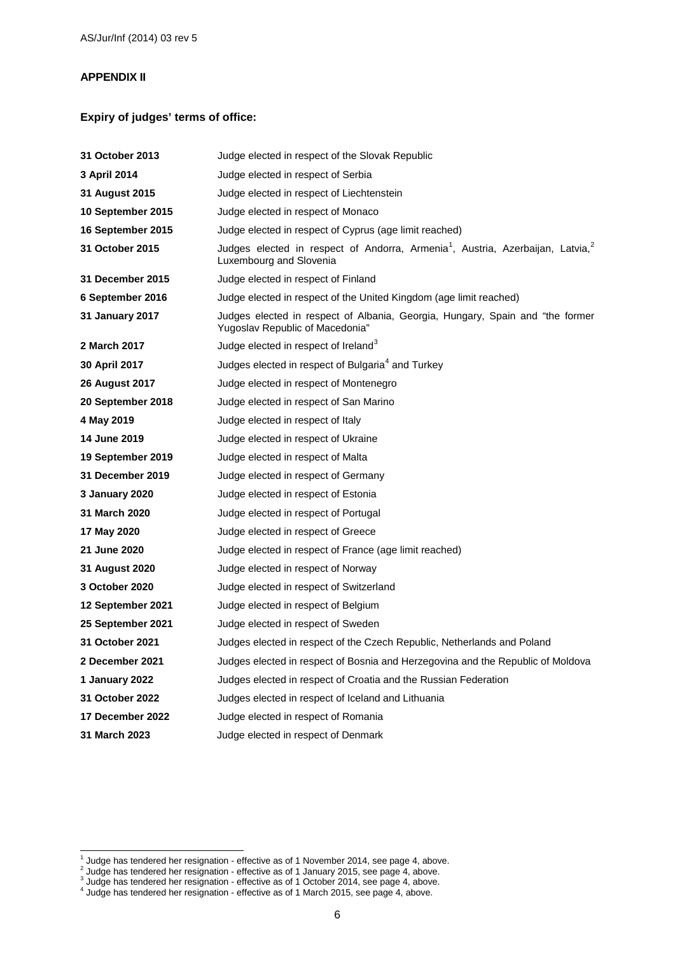## **APPENDIX II**

## **Expiry of judges' terms of office:**

| <b>31 October 2013</b>  | Judge elected in respect of the Slovak Republic                                                                                   |
|-------------------------|-----------------------------------------------------------------------------------------------------------------------------------|
| 3 April 2014            | Judge elected in respect of Serbia                                                                                                |
| 31 August 2015          | Judge elected in respect of Liechtenstein                                                                                         |
| 10 September 2015       | Judge elected in respect of Monaco                                                                                                |
| 16 September 2015       | Judge elected in respect of Cyprus (age limit reached)                                                                            |
| <b>31 October 2015</b>  | Judges elected in respect of Andorra, Armenia <sup>1</sup> , Austria, Azerbaijan, Latvia, <sup>2</sup><br>Luxembourg and Slovenia |
| <b>31 December 2015</b> | Judge elected in respect of Finland                                                                                               |
| 6 September 2016        | Judge elected in respect of the United Kingdom (age limit reached)                                                                |
| 31 January 2017         | Judges elected in respect of Albania, Georgia, Hungary, Spain and "the former<br>Yugoslav Republic of Macedonia"                  |
| 2 March 2017            | Judge elected in respect of Ireland <sup>3</sup>                                                                                  |
| 30 April 2017           | Judges elected in respect of Bulgaria <sup>4</sup> and Turkey                                                                     |
| 26 August 2017          | Judge elected in respect of Montenegro                                                                                            |
| 20 September 2018       | Judge elected in respect of San Marino                                                                                            |
| 4 May 2019              | Judge elected in respect of Italy                                                                                                 |
| 14 June 2019            | Judge elected in respect of Ukraine                                                                                               |
| 19 September 2019       | Judge elected in respect of Malta                                                                                                 |
| <b>31 December 2019</b> | Judge elected in respect of Germany                                                                                               |
| 3 January 2020          | Judge elected in respect of Estonia                                                                                               |
| 31 March 2020           | Judge elected in respect of Portugal                                                                                              |
| 17 May 2020             | Judge elected in respect of Greece                                                                                                |
| 21 June 2020            | Judge elected in respect of France (age limit reached)                                                                            |
| 31 August 2020          | Judge elected in respect of Norway                                                                                                |
| <b>3 October 2020</b>   | Judge elected in respect of Switzerland                                                                                           |
| 12 September 2021       | Judge elected in respect of Belgium                                                                                               |
| 25 September 2021       | Judge elected in respect of Sweden                                                                                                |
| <b>31 October 2021</b>  | Judges elected in respect of the Czech Republic, Netherlands and Poland                                                           |
| 2 December 2021         | Judges elected in respect of Bosnia and Herzegovina and the Republic of Moldova                                                   |
| 1 January 2022          | Judges elected in respect of Croatia and the Russian Federation                                                                   |
| 31 October 2022         | Judges elected in respect of Iceland and Lithuania                                                                                |
| 17 December 2022        | Judge elected in respect of Romania                                                                                               |
| 31 March 2023           | Judge elected in respect of Denmark                                                                                               |

 $\overline{1}$ 

<span id="page-5-1"></span><span id="page-5-0"></span><sup>&</sup>lt;sup>1</sup> Judge has tendered her resignation - effective as of 1 November 2014, see page 4, above.<br><sup>2</sup> Judge has tendered her resignation - effective as of 1 January 2015, see page 4, above.<br><sup>3</sup> Judge has tendered her resignati

<span id="page-5-2"></span>

<span id="page-5-3"></span>